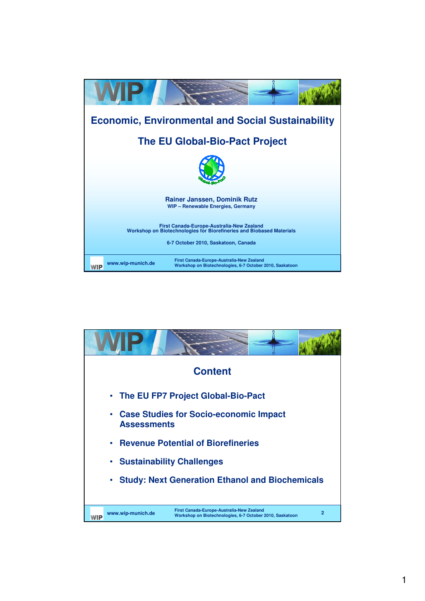

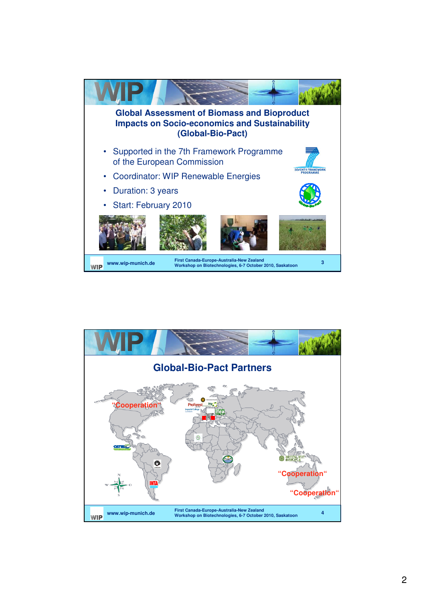

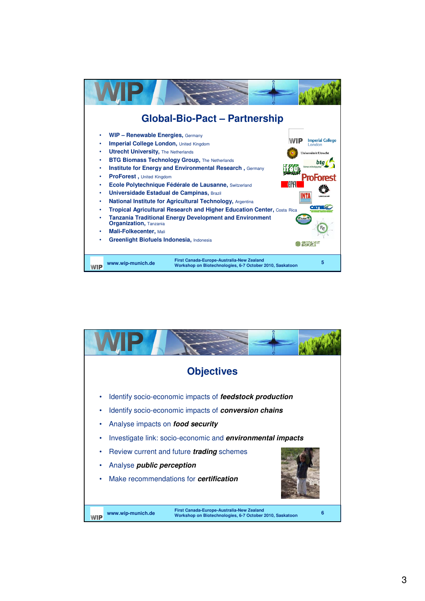

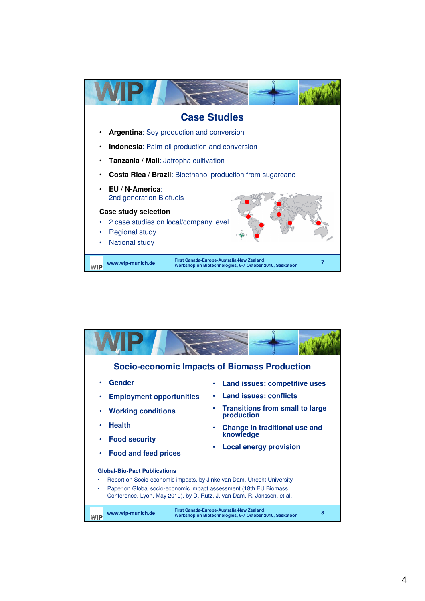

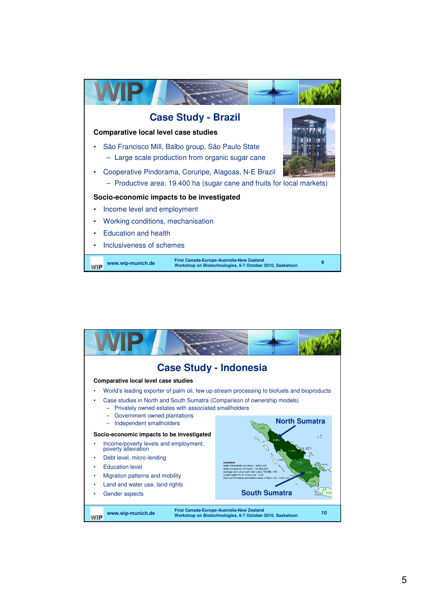

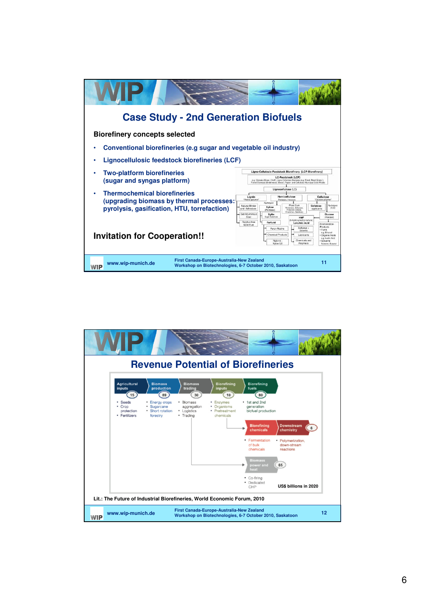| <b>Case Study - 2nd Generation Biofuels</b>                                                                                                                           |                                                                                                                                                                                                                                                                                                                                                                                                                                                                                                                                                                                                                                                                                                                                                                                                             |
|-----------------------------------------------------------------------------------------------------------------------------------------------------------------------|-------------------------------------------------------------------------------------------------------------------------------------------------------------------------------------------------------------------------------------------------------------------------------------------------------------------------------------------------------------------------------------------------------------------------------------------------------------------------------------------------------------------------------------------------------------------------------------------------------------------------------------------------------------------------------------------------------------------------------------------------------------------------------------------------------------|
| <b>Biorefinery concepts selected</b>                                                                                                                                  |                                                                                                                                                                                                                                                                                                                                                                                                                                                                                                                                                                                                                                                                                                                                                                                                             |
| Conventional biorefineries (e.g sugar and vegetable oil industry)                                                                                                     |                                                                                                                                                                                                                                                                                                                                                                                                                                                                                                                                                                                                                                                                                                                                                                                                             |
| Lignocellulosic feedstock biorefineries (LCF)                                                                                                                         |                                                                                                                                                                                                                                                                                                                                                                                                                                                                                                                                                                                                                                                                                                                                                                                                             |
| <b>Two-platform biorefineries</b><br>(sugar and syngas platform)                                                                                                      | Ligno-Cellulosic Feedstock Biorefinery [LCF-Biorefinery]<br>LC-Feedstock (LCF)<br>e.g. Cereals (Straw, Chaff); Ligno-Cellulosic Biomass (e.g. Reed, Reed Grass );<br>Forest Biomass (Underwood, Wood); Paper- and Cellulosic Municipal Solid Waste                                                                                                                                                                                                                                                                                                                                                                                                                                                                                                                                                          |
| <b>Thermochemical biorefineries</b><br>(upgrading biomass by thermal processes:<br>pyrolysis, gasification, HTU, torrefaction)<br><b>Invitation for Cooperation!!</b> | Lignocellulose (LC)<br>Lignin<br>Hemicellulose<br>Cellulose<br>"Phenol-polymer"<br>"Glucose-polymer"<br>Pentoses, Hexoses<br>Hydrolysis<br>Hydrolysis<br>Plant Gum<br><b>Cellulose</b><br>Natural Binder<br>Xylose<br>Thickprors, Adhesives<br>(E/C)<br>and Adhesives<br>applicants<br>(Pentose)<br>Protective Colloids.<br>Frischifors, Stabilizan<br>Sub-bituminous<br>Glucose<br>Xylite<br>Sugar-Substitute<br>Coal<br>(Hexose)<br>HMF<br>(5-Hydroxymethyl-furfural).<br>Sulphur-free<br>Furtural<br><b>Levulinic Acid</b><br>Fermentation-<br>Solid Fuel<br>Products<br>Softener +<br>Furan Resins<br>· Fuels<br>Salvents<br>e.g. Ethanol<br>Chemical Products<br>Lubricants<br>Organic Acids<br>e.g. Lactic Acid<br>Chemicals and<br>Nylon 6:<br>Solvents<br>Nylon 6,6<br>Polymers<br>Acetone, Butanol |
| First Canada-Europe-Australia-New Zealand<br>www.wip-munich.de<br>WIP                                                                                                 | 11<br>Workshop on Biotechnologies, 6-7 October 2010, Saskatoon                                                                                                                                                                                                                                                                                                                                                                                                                                                                                                                                                                                                                                                                                                                                              |

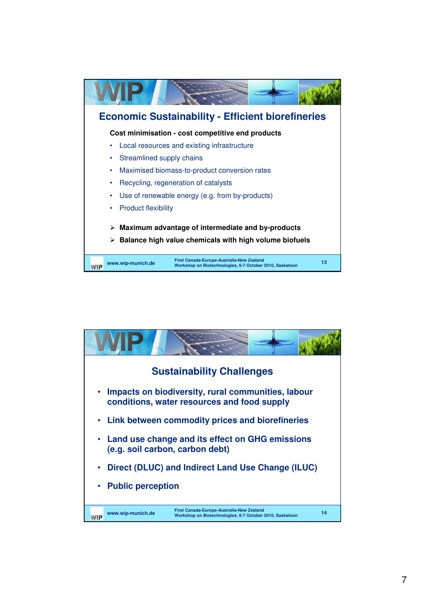

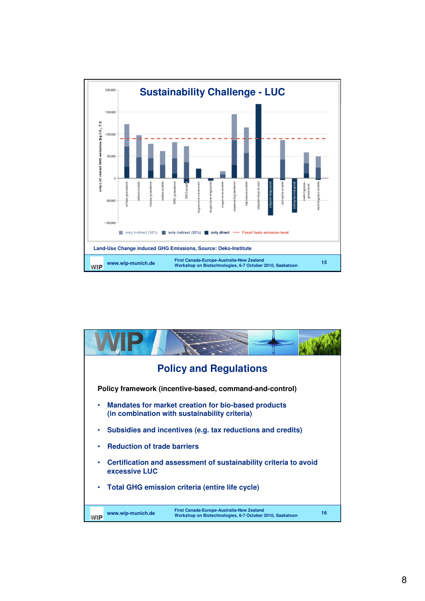

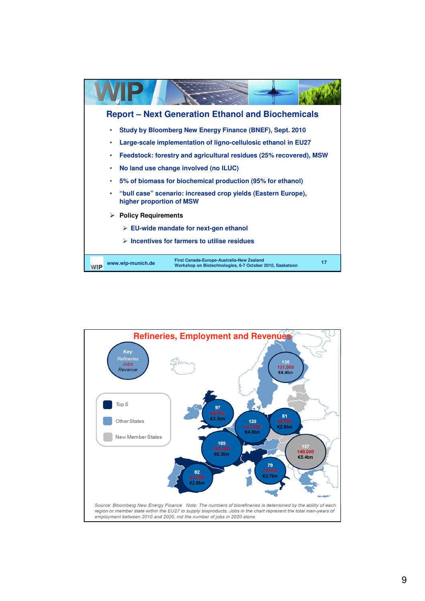